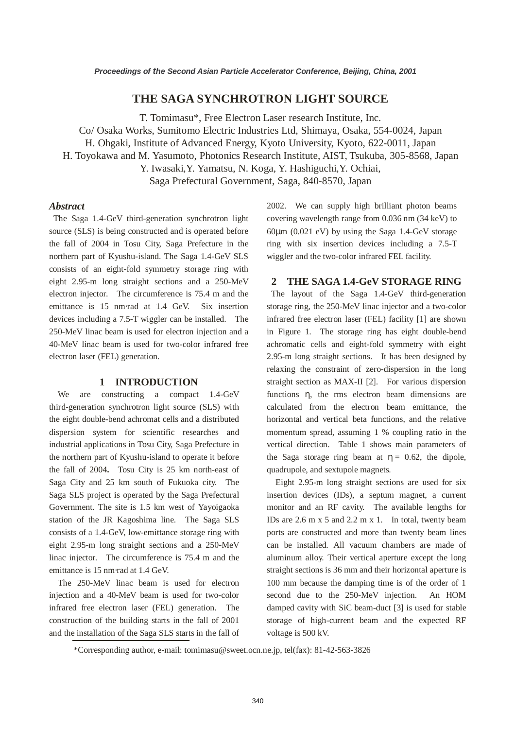# **THE SAGA SYNCHROTRON LIGHT SOURCE**

T. Tomimasu\*, Free Electron Laser research Institute, Inc. Co/ Osaka Works, Sumitomo Electric Industries Ltd, Shimaya, Osaka, 554-0024, Japan H. Ohgaki, Institute of Advanced Energy, Kyoto University, Kyoto, 622-0011, Japan H. Toyokawa and M. Yasumoto, Photonics Research Institute, AIST, Tsukuba, 305-8568, Japan Y. Iwasaki,Y. Yamatsu, N. Koga, Y. Hashiguchi,Y. Ochiai, Saga Prefectural Government, Saga, 840-8570, Japan

### *Abstract*

The Saga 1.4-GeV third-generation synchrotron light source (SLS) is being constructed and is operated before the fall of 2004 in Tosu City, Saga Prefecture in the northern part of Kyushu-island. The Saga 1.4-GeV SLS consists of an eight-fold symmetry storage ring with eight 2.95-m long straight sections and a 250-MeV electron injector. The circumference is 75.4 m and the emittance is 15 nm⋅rad at 1.4 GeV. Six insertion devices including a 7.5-T wiggler can be installed. The 250-MeV linac beam is used for electron injection and a 40-MeV linac beam is used for two-color infrared free electron laser (FEL) generation.

## **1 INTRODUCTION**

We are constructing a compact 1.4-GeV third-generation synchrotron light source (SLS) with the eight double-bend achromat cells and a distributed dispersion system for scientific researches and industrial applications in Tosu City, Saga Prefecture in the northern part of Kyushu-island to operate it before the fall of 2004**.** Tosu City is 25 km north-east of Saga City and 25 km south of Fukuoka city. The Saga SLS project is operated by the Saga Prefectural Government. The site is 1.5 km west of Yayoigaoka station of the JR Kagoshima line. The Saga SLS consists of a 1.4-GeV, low-emittance storage ring with eight 2.95-m long straight sections and a 250-MeV linac injector. The circumference is 75.4 m and the emittance is 15 nm⋅rad at 1.4 GeV.

The 250-MeV linac beam is used for electron injection and a 40-MeV beam is used for two-color infrared free electron laser (FEL) generation. The construction of the building starts in the fall of 2001 and the installation of the Saga SLS starts in the fall of 2002. We can supply high brilliant photon beams covering wavelength range from 0.036 nm (34 keV) to 60 $\mu$ m (0.021 eV) by using the Saga 1.4-GeV storage ring with six insertion devices including a 7.5-T wiggler and the two-color infrared FEL facility.

## **2 THE SAGA 1.4-GeV STORAGE RING**

The layout of the Saga 1.4-GeV third-generation storage ring, the 250-MeV linac injector and a two-color infrared free electron laser (FEL) facility [1] are shown in Figure 1. The storage ring has eight double-bend achromatic cells and eight-fold symmetry with eight 2.95-m long straight sections. It has been designed by relaxing the constraint of zero-dispersion in the long straight section as MAX-II [2]. For various dispersion functions η, the rms electron beam dimensions are calculated from the electron beam emittance, the horizontal and vertical beta functions, and the relative momentum spread, assuming 1 % coupling ratio in the vertical direction. Table 1 shows main parameters of the Saga storage ring beam at  $\eta = 0.62$ , the dipole, quadrupole, and sextupole magnets.

Eight 2.95-m long straight sections are used for six insertion devices (IDs), a septum magnet, a current monitor and an RF cavity. The available lengths for IDs are 2.6 m x 5 and 2.2 m x 1. In total, twenty beam ports are constructed and more than twenty beam lines can be installed. All vacuum chambers are made of aluminum alloy. Their vertical aperture except the long straight sections is 36 mm and their horizontal aperture is 100 mm because the damping time is of the order of 1 second due to the 250-MeV injection. An HOM damped cavity with SiC beam-duct [3] is used for stable storage of high-current beam and the expected RF voltage is 500 kV.

<sup>\*</sup>Corresponding author, e-mail: tomimasu@sweet.ocn.ne.jp, tel(fax): 81-42-563-3826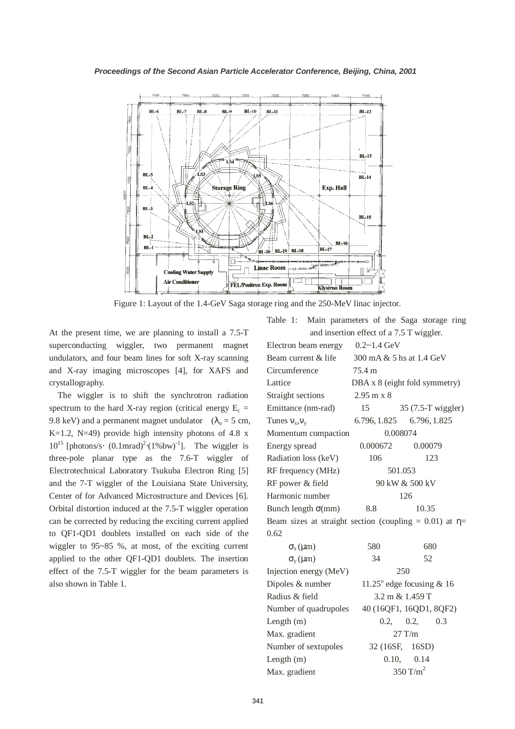

Figure 1: Layout of the 1.4-GeV Saga storage ring and the 250-MeV linac injector.

At the present time, we are planning to install a 7.5-T superconducting wiggler, two permanent magnet undulators, and four beam lines for soft X-ray scanning and X-ray imaging microscopes [4], for XAFS and crystallography.

The wiggler is to shift the synchrotron radiation spectrum to the hard X-ray region (critical energy  $E_c$  = 9.8 keV) and a permanent magnet undulator ( $\lambda_u = 5$  cm, K=1.2, N=49) provide high intensity photons of 4.8  $x$  $10^{15}$  [photons/s⋅  $(0.1$ mrad)<sup>2</sup>⋅(1%bw)<sup>-1</sup>]. The wiggler is three-pole planar type as the 7.6-T wiggler of Electrotechnical Laboratory Tsukuba Electron Ring [5] and the 7-T wiggler of the Louisiana State University, Center of for Advanced Microstructure and Devices [6]. Orbital distortion induced at the 7.5-T wiggler operation can be corrected by reducing the exciting current applied to QF1-QD1 doublets installed on each side of the wiggler to 95~85 %, at most, of the exciting current applied to the other QF1-QD1 doublets. The insertion effect of the 7.5-T wiggler for the beam parameters is also shown in Table 1.

|                                                              | and insertion effect of a 7.5 T wiggler. |           |     |
|--------------------------------------------------------------|------------------------------------------|-----------|-----|
| Electron beam energy                                         | $0.2 - 1.4$ GeV                          |           |     |
| Beam current & life                                          | 300 mA & 5 hs at 1.4 GeV                 |           |     |
| Circumference                                                | 75.4 m                                   |           |     |
| Lattice                                                      | DBA x 8 (eight fold symmetry)            |           |     |
| Straight sections                                            | $2.95 \text{ m} \times 8$                |           |     |
| Emittance (nm-rad)                                           | 15 35 (7.5-T wiggler)                    |           |     |
| Tunes $v_x, v_y$                                             | 6.796, 1.825 6.796, 1.825                |           |     |
| Momentum compaction                                          | 0.008074                                 |           |     |
| Energy spread                                                | 0.000672                                 | 0.00079   |     |
| Radiation loss (keV)                                         | 106                                      |           | 123 |
| RF frequency (MHz)                                           | 501.053                                  |           |     |
| RF power & field                                             | 90 kW & 500 kV                           |           |     |
| Harmonic number                                              | 126                                      |           |     |
| Bunch length $\sigma$ (mm)                                   | 8.8<br>10.35                             |           |     |
| Beam sizes at straight section (coupling = 0.01) at $\eta$ = |                                          |           |     |
| 0.62                                                         |                                          |           |     |
| $\sigma_{\rm x}$ ( $\mu$ m)                                  | 580                                      |           | 680 |
| $\sigma_{v}(\mu m)$                                          | 34                                       | 52        |     |
| Injection energy (MeV)                                       | 250                                      |           |     |
| Dipoles & number                                             | 11.25 $^{\circ}$ edge focusing & 16      |           |     |
| Radius & field                                               | $3.2 \text{ m} \& 1.459 \text{ T}$       |           |     |
| Number of quadrupoles                                        | 40 (16QF1, 16QD1, 8QF2)                  |           |     |
| Length $(m)$                                                 |                                          | 0.2, 0.2, | 0.3 |
| Max. gradient                                                | $27$ T/m                                 |           |     |
| Number of sextupoles                                         | 32 (16SF, 16SD)                          |           |     |
| Length (m)                                                   | 0.10, 0.14                               |           |     |
| Max. gradient                                                | 350 T/ $m2$                              |           |     |

Table 1: Main parameters of the Saga storage ring